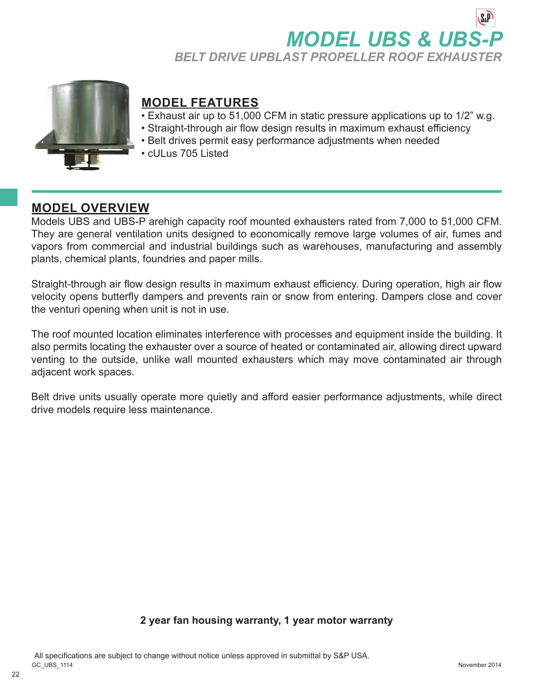# **MODEL UBS & UBS-***BELT DRIVE UPBLAST PROPELLER ROOF EXHAUSTER*



# **MODEL FEATURES**

- Exhaust air up to 51,000 CFM in static pressure applications up to 1/2" w.g.
- Straight-through air flow design results in maximum exhaust efficiency
- Belt drives permit easy performance adjustments when needed
- cULus 705 Listed

## **MODEL OVERVIEW**

 $22$ 

Models UBS and UBS-P arehigh capacity roof mounted exhausters rated from 7,000 to 51,000 CFM. They are general ventilation units designed to economically remove large volumes of air, fumes and vapors from commercial and industrial buildings such as warehouses, manufacturing and assembly plants, chemical plants, foundries and paper mills.

Straight-through air flow design results in maximum exhaust efficiency. During operation, high air flow velocity opens butterfly dampers and prevents rain or snow from entering. Dampers close and cover the venturi opening when unit is not in use.

The roof mounted location eliminates interference with processes and equipment inside the building. It also permits locating the exhauster over a source of heated or contaminated air, allowing direct upward venting to the outside, unlike wall mounted exhausters which may move contaminated air through adjacent work spaces.

Belt drive units usually operate more quietly and afford easier performance adjustments, while direct drive models require less maintenance.

### **2 year fan housing warranty, 1 year motor warranty**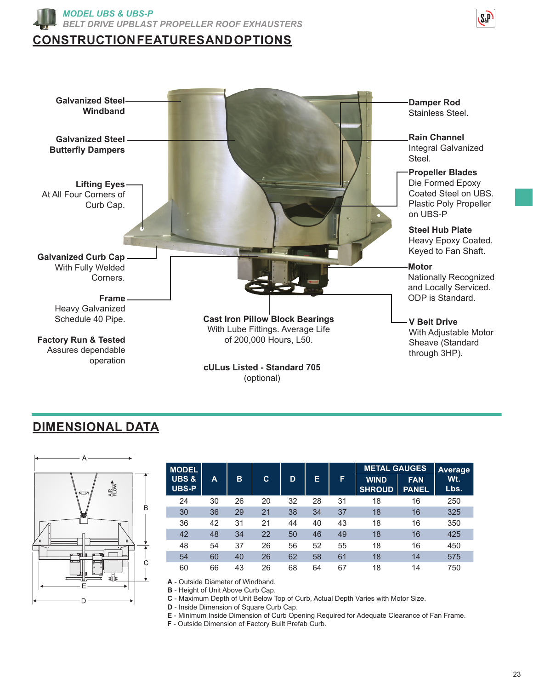





# **DIMENSIONAL DATA**



| <b>MODEL</b>                     |    |    |    |    |    |    |                              | <b>METAL GAUGES</b>        |             |  |
|----------------------------------|----|----|----|----|----|----|------------------------------|----------------------------|-------------|--|
| <b>UBS &amp;</b><br><b>UBS-P</b> | A  | в  | C  | D  | Е  | F  | <b>WIND</b><br><b>SHROUD</b> | <b>FAN</b><br><b>PANEL</b> | Wt.<br>Lbs. |  |
| 24                               | 30 | 26 | 20 | 32 | 28 | 31 | 18                           | 16                         | 250         |  |
| 30                               | 36 | 29 | 21 | 38 | 34 | 37 | 18                           | 16                         | 325         |  |
| 36                               | 42 | 31 | 21 | 44 | 40 | 43 | 18                           | 16                         | 350         |  |
| 42                               | 48 | 34 | 22 | 50 | 46 | 49 | 18                           | 16                         | 425         |  |
| 48                               | 54 | 37 | 26 | 56 | 52 | 55 | 18                           | 16                         | 450         |  |
| 54                               | 60 | 40 | 26 | 62 | 58 | 61 | 18                           | 14                         | 575         |  |
| 60                               | 66 | 43 | 26 | 68 | 64 | 67 | 18                           | 14                         | 750         |  |

**A** - Outside Diameter of Windband. **B** - Height of Unit Above Curb Cap.

**C** - Maximum Depth of Unit Below Top of Curb, Actual Depth Varies with Motor Size.

**D** - Inside Dimension of Square Curb Cap.

**E** - Minimum Inside Dimension of Curb Opening Required for Adequate Clearance of Fan Frame.

**F** - Outside Dimension of Factory Built Prefab Curb.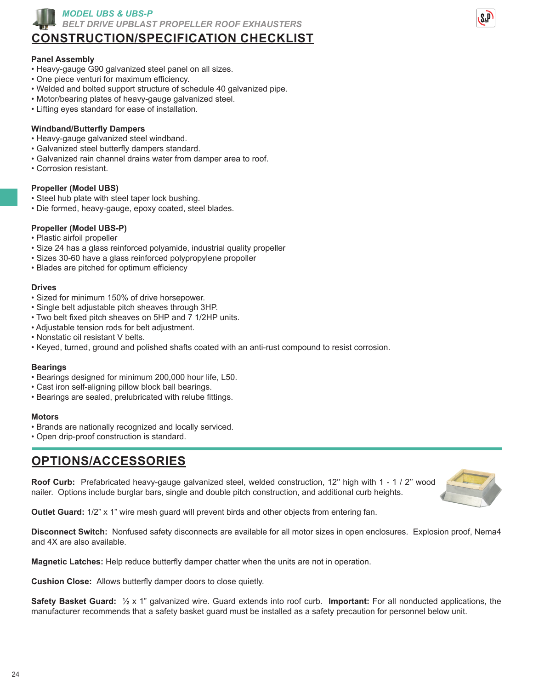

*MODEL UBS & UBS-P BELT DRIVE UPBLAST PROPELLER ROOF EXHAUSTERS*

## **CONSTRUCTION/SPECIFICATION CHECKLIST**

#### **Panel Assembly**

- Heavy-gauge G90 galvanized steel panel on all sizes.
- One piece venturi for maximum efficiency.
- Welded and bolted support structure of schedule 40 galvanized pipe.
- Motor/bearing plates of heavy-gauge galvanized steel.
- Lifting eyes standard for ease of installation.

#### **Windband/Butterfly Dampers**

- Heavy-gauge galvanized steel windband.
- Galvanized steel butterfly dampers standard.
- Galvanized rain channel drains water from damper area to roof.
- Corrosion resistant.

#### **Propeller (Model UBS)**

- Steel hub plate with steel taper lock bushing.
- Die formed, heavy-gauge, epoxy coated, steel blades.

#### **Propeller (Model UBS-P)**

- Plastic airfoil propeller
- Size 24 has a glass reinforced polyamide, industrial quality propeller
- Sizes 30-60 have a glass reinforced polypropylene propoller
- Blades are pitched for optimum efficiency

#### **Drives**

- Sized for minimum 150% of drive horsepower.
- Single belt adjustable pitch sheaves through 3HP.
- Two belt fixed pitch sheaves on 5HP and 7 1/2HP units.
- Adjustable tension rods for belt adjustment.
- Nonstatic oil resistant V belts.
- Keyed, turned, ground and polished shafts coated with an anti-rust compound to resist corrosion.

#### **Bearings**

- Bearings designed for minimum 200,000 hour life, L50.
- Cast iron self-aligning pillow block ball bearings.
- Bearings are sealed, prelubricated with relube fittings.

#### **Motors**

- Brands are nationally recognized and locally serviced.
- Open drip-proof construction is standard.

## **OPTIONS/ACCESSORIES**

**Roof Curb:** Prefabricated heavy-gauge galvanized steel, welded construction, 12'' high with 1 - 1 / 2'' wood nailer. Options include burglar bars, single and double pitch construction, and additional curb heights.



**Outlet Guard:** 1/2" x 1" wire mesh guard will prevent birds and other objects from entering fan.

**Disconnect Switch:** Nonfused safety disconnects are available for all motor sizes in open enclosures. Explosion proof, Nema4 and 4X are also available.

**Magnetic Latches:** Help reduce butterfly damper chatter when the units are not in operation.

**Cushion Close:** Allows butterfly damper doors to close quietly.

**Safety Basket Guard:** ½ x 1" galvanized wire. Guard extends into roof curb. **Important:** For all nonducted applications, the manufacturer recommends that a safety basket guard must be installed as a safety precaution for personnel below unit.